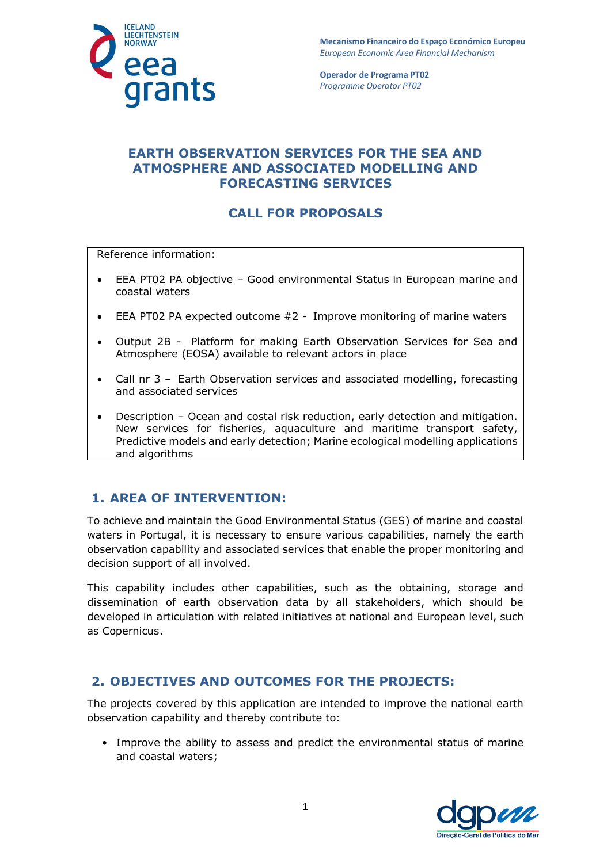

**Mecanismo Financeiro do Espaço Económico Europeu**  *European Economic Area Financial Mechanism* 

**Operador de Programa PT02**  *Programme Operator PT02*

### **EARTH OBSERVATION SERVICES FOR THE SEA AND ATMOSPHERE AND ASSOCIATED MODELLING AND FORECASTING SERVICES**

# **CALL FOR PROPOSALS**

Reference information:

- EEA PT02 PA objective Good environmental Status in European marine and coastal waters
- EEA PT02 PA expected outcome #2 Improve monitoring of marine waters
- Output 2B Platform for making Earth Observation Services for Sea and Atmosphere (EOSA) available to relevant actors in place
- Call nr 3 Earth Observation services and associated modelling, forecasting and associated services
- Description Ocean and costal risk reduction, early detection and mitigation. New services for fisheries, aquaculture and maritime transport safety, Predictive models and early detection; Marine ecological modelling applications and algorithms

#### **1. AREA OF INTERVENTION:**

To achieve and maintain the Good Environmental Status (GES) of marine and coastal waters in Portugal, it is necessary to ensure various capabilities, namely the earth observation capability and associated services that enable the proper monitoring and decision support of all involved.

This capability includes other capabilities, such as the obtaining, storage and dissemination of earth observation data by all stakeholders, which should be developed in articulation with related initiatives at national and European level, such as Copernicus.

#### **2. OBJECTIVES AND OUTCOMES FOR THE PROJECTS:**

The projects covered by this application are intended to improve the national earth observation capability and thereby contribute to:

• Improve the ability to assess and predict the environmental status of marine and coastal waters;

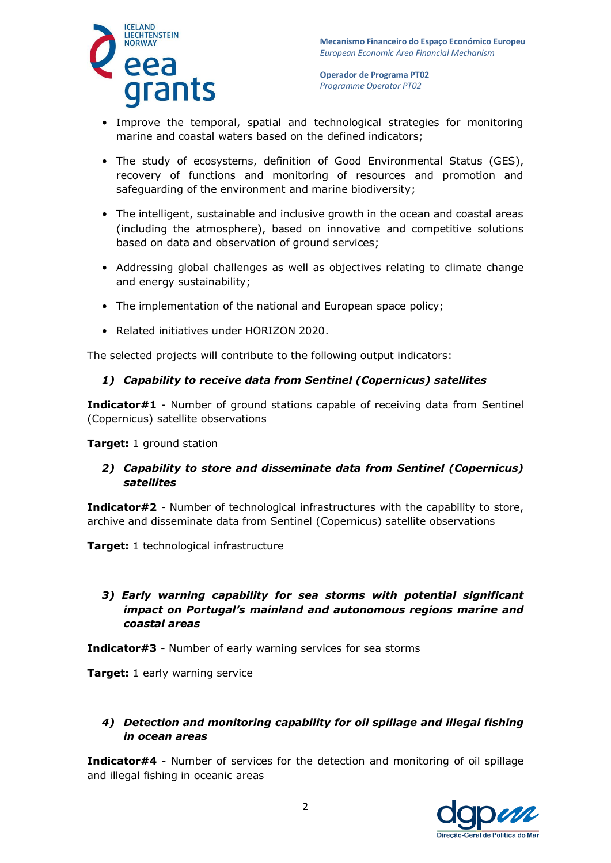

- Improve the temporal, spatial and technological strategies for monitoring marine and coastal waters based on the defined indicators;
- The study of ecosystems, definition of Good Environmental Status (GES), recovery of functions and monitoring of resources and promotion and safeguarding of the environment and marine biodiversity;
- The intelligent, sustainable and inclusive growth in the ocean and coastal areas (including the atmosphere), based on innovative and competitive solutions based on data and observation of ground services;
- Addressing global challenges as well as objectives relating to climate change and energy sustainability;
- The implementation of the national and European space policy;
- Related initiatives under HORIZON 2020.

The selected projects will contribute to the following output indicators:

#### *1) Capability to receive data from Sentinel (Copernicus) satellites*

**Indicator#1** - Number of ground stations capable of receiving data from Sentinel (Copernicus) satellite observations

#### **Target:** 1 ground station

#### *2) Capability to store and disseminate data from Sentinel (Copernicus) satellites*

**Indicator#2** - Number of technological infrastructures with the capability to store, archive and disseminate data from Sentinel (Copernicus) satellite observations

**Target:** 1 technological infrastructure

#### *3) Early warning capability for sea storms with potential significant impact on Portugal's mainland and autonomous regions marine and coastal areas*

**Indicator#3** - Number of early warning services for sea storms

**Target:** 1 early warning service

#### *4) Detection and monitoring capability for oil spillage and illegal fishing in ocean areas*

**Indicator#4** - Number of services for the detection and monitoring of oil spillage and illegal fishing in oceanic areas

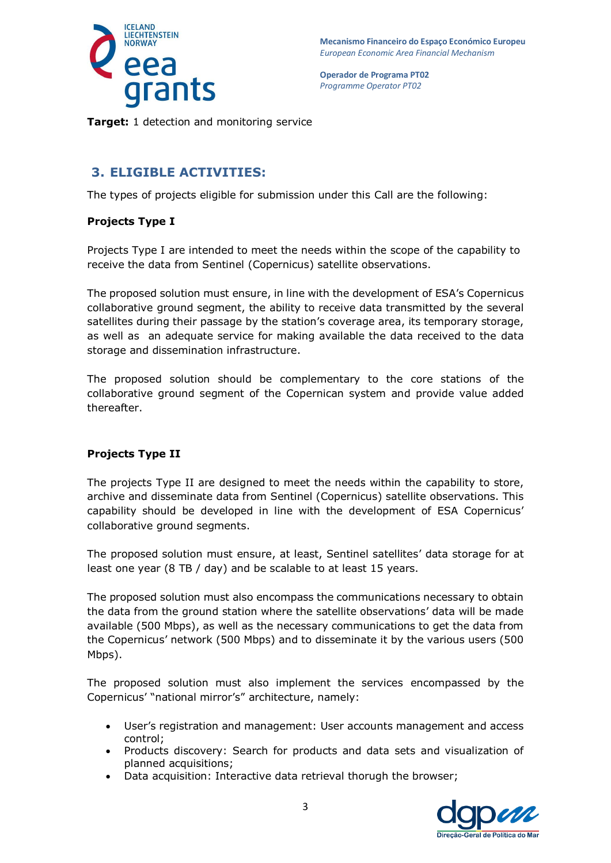

**Target:** 1 detection and monitoring service

### **3. ELIGIBLE ACTIVITIES:**

The types of projects eligible for submission under this Call are the following:

#### **Projects Type I**

Projects Type I are intended to meet the needs within the scope of the capability to receive the data from Sentinel (Copernicus) satellite observations.

The proposed solution must ensure, in line with the development of ESA's Copernicus collaborative ground segment, the ability to receive data transmitted by the several satellites during their passage by the station's coverage area, its temporary storage, as well as an adequate service for making available the data received to the data storage and dissemination infrastructure.

The proposed solution should be complementary to the core stations of the collaborative ground segment of the Copernican system and provide value added thereafter.

#### **Projects Type II**

The projects Type II are designed to meet the needs within the capability to store, archive and disseminate data from Sentinel (Copernicus) satellite observations. This capability should be developed in line with the development of ESA Copernicus' collaborative ground segments.

The proposed solution must ensure, at least, Sentinel satellites' data storage for at least one year (8 TB / day) and be scalable to at least 15 years.

The proposed solution must also encompass the communications necessary to obtain the data from the ground station where the satellite observations' data will be made available (500 Mbps), as well as the necessary communications to get the data from the Copernicus' network (500 Mbps) and to disseminate it by the various users (500 Mbps).

The proposed solution must also implement the services encompassed by the Copernicus' "national mirror's" architecture, namely:

- User's registration and management: User accounts management and access control;
- Products discovery: Search for products and data sets and visualization of planned acquisitions;
- Data acquisition: Interactive data retrieval thorugh the browser;

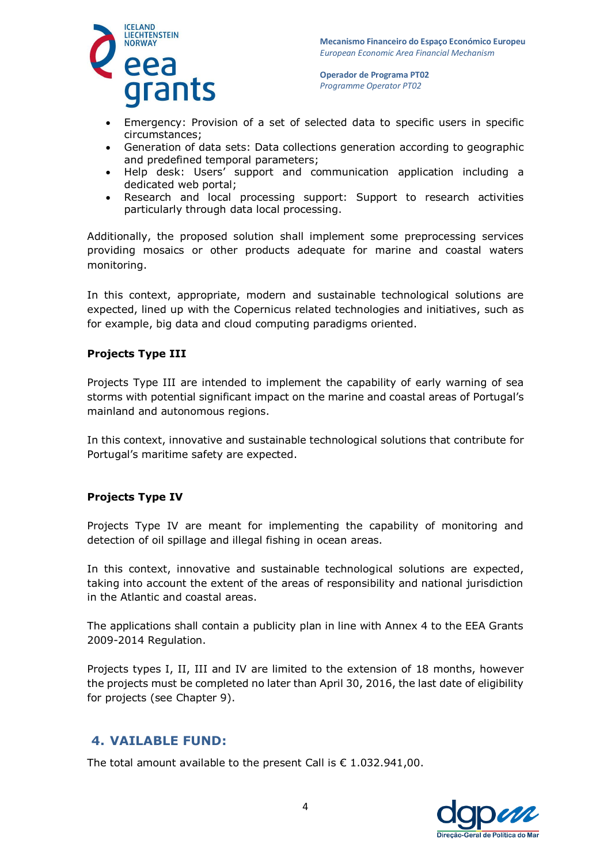

- Emergency: Provision of a set of selected data to specific users in specific circumstances;
- Generation of data sets: Data collections generation according to geographic and predefined temporal parameters;
- Help desk: Users' support and communication application including a dedicated web portal;
- Research and local processing support: Support to research activities particularly through data local processing.

Additionally, the proposed solution shall implement some preprocessing services providing mosaics or other products adequate for marine and coastal waters monitoring.

In this context, appropriate, modern and sustainable technological solutions are expected, lined up with the Copernicus related technologies and initiatives, such as for example, big data and cloud computing paradigms oriented.

#### **Projects Type III**

Projects Type III are intended to implement the capability of early warning of sea storms with potential significant impact on the marine and coastal areas of Portugal's mainland and autonomous regions.

In this context, innovative and sustainable technological solutions that contribute for Portugal's maritime safety are expected.

#### **Projects Type IV**

Projects Type IV are meant for implementing the capability of monitoring and detection of oil spillage and illegal fishing in ocean areas.

In this context, innovative and sustainable technological solutions are expected, taking into account the extent of the areas of responsibility and national jurisdiction in the Atlantic and coastal areas.

The applications shall contain a publicity plan in line with Annex 4 to the EEA Grants 2009-2014 Regulation.

Projects types I, II, III and IV are limited to the extension of 18 months, however the projects must be completed no later than April 30, 2016, the last date of eligibility for projects (see Chapter 9).

### **4. VAILABLE FUND:**

The total amount available to the present Call is  $\epsilon$  1.032.941,00.

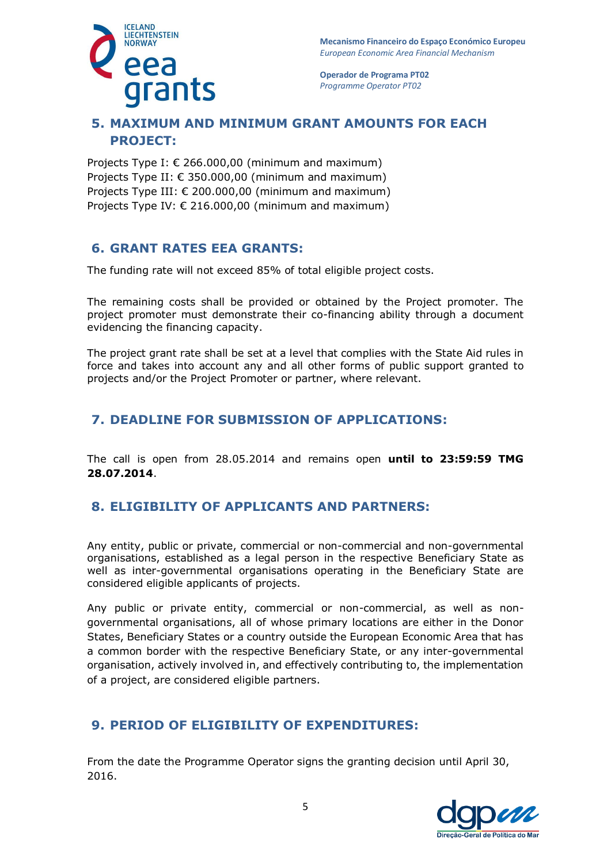

**Mecanismo Financeiro do Espaço Económico Europeu**  *European Economic Area Financial Mechanism* 

**Operador de Programa PT02**  *Programme Operator PT02*

# **5. MAXIMUM AND MINIMUM GRANT AMOUNTS FOR EACH PROJECT:**

Projects Type I:  $\epsilon$  266.000,00 (minimum and maximum) Projects Type II:  $\epsilon$  350,000,00 (minimum and maximum) Projects Type III:  $\epsilon$  200.000,00 (minimum and maximum) Projects Type IV: € 216.000,00 (minimum and maximum)

### **6. GRANT RATES EEA GRANTS:**

The funding rate will not exceed 85% of total eligible project costs.

The remaining costs shall be provided or obtained by the Project promoter. The project promoter must demonstrate their co-financing ability through a document evidencing the financing capacity.

The project grant rate shall be set at a level that complies with the State Aid rules in force and takes into account any and all other forms of public support granted to projects and/or the Project Promoter or partner, where relevant.

### **7. DEADLINE FOR SUBMISSION OF APPLICATIONS:**

The call is open from 28.05.2014 and remains open **until to 23:59:59 TMG 28.07.2014**.

### **8. ELIGIBILITY OF APPLICANTS AND PARTNERS:**

Any entity, public or private, commercial or non-commercial and non-governmental organisations, established as a legal person in the respective Beneficiary State as well as inter-governmental organisations operating in the Beneficiary State are considered eligible applicants of projects.

Any public or private entity, commercial or non-commercial, as well as nongovernmental organisations, all of whose primary locations are either in the Donor States, Beneficiary States or a country outside the European Economic Area that has a common border with the respective Beneficiary State, or any inter-governmental organisation, actively involved in, and effectively contributing to, the implementation of a project, are considered eligible partners.

### **9. PERIOD OF ELIGIBILITY OF EXPENDITURES:**

From the date the Programme Operator signs the granting decision until April 30, 2016.

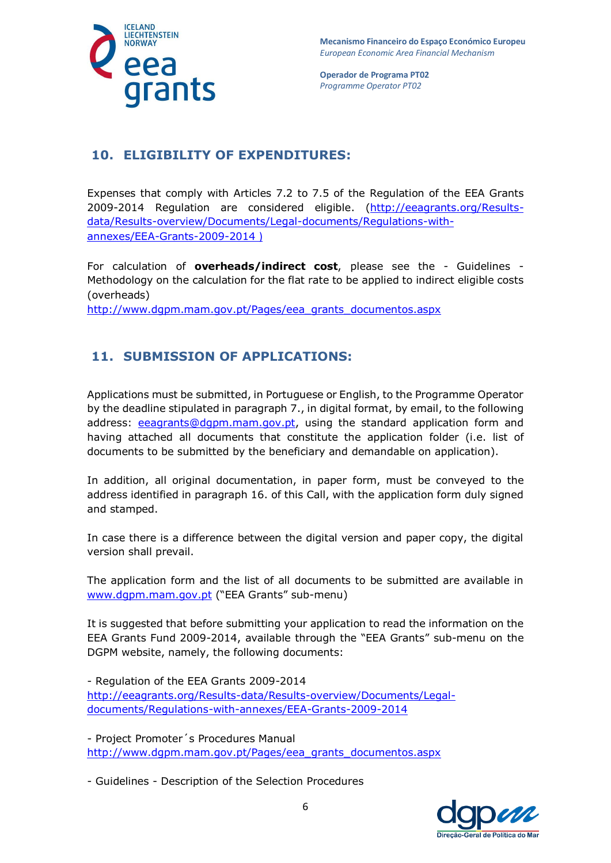

# **10. ELIGIBILITY OF EXPENDITURES:**

Expenses that comply with Articles 7.2 to 7.5 of the Regulation of the EEA Grants 2009-2014 Regulation are considered eligible. [\(http://eeagrants.org/Results](http://eeagrants.org/Results-data/Results-overview/Documents/Legal-documents/Regulations-with-annexes/EEA-Grants-2009-2014)[data/Results-overview/Documents/Legal-documents/Regulations-with](http://eeagrants.org/Results-data/Results-overview/Documents/Legal-documents/Regulations-with-annexes/EEA-Grants-2009-2014)[annexes/EEA-Grants-2009-2014](http://eeagrants.org/Results-data/Results-overview/Documents/Legal-documents/Regulations-with-annexes/EEA-Grants-2009-2014) )

For calculation of **overheads/indirect cost**, please see the - Guidelines - Methodology on the calculation for the flat rate to be applied to indirect eligible costs (overheads)

[http://www.dgpm.mam.gov.pt/Pages/eea\\_grants\\_documentos.aspx](http://www.dgpm.mam.gov.pt/Pages/eea_grants_documentos.aspx)

# **11. SUBMISSION OF APPLICATIONS:**

Applications must be submitted, in Portuguese or English, to the Programme Operator by the deadline stipulated in paragraph 7., in digital format, by email, to the following address: [eeagrants@dgpm.mam.gov.pt,](mailto:eeagrants@dgpm.mam.gov.pt) using the standard application form and having attached all documents that constitute the application folder (i.e. list of documents to be submitted by the beneficiary and demandable on application).

In addition, all original documentation, in paper form, must be conveyed to the address identified in paragraph 16. of this Call, with the application form duly signed and stamped.

In case there is a difference between the digital version and paper copy, the digital version shall prevail.

The application form and the list of all documents to be submitted are available in [www.dgpm.mam.gov.pt](http://www.dgpm.mam.gov.pt/) ("EEA Grants" sub-menu)

It is suggested that before submitting your application to read the information on the EEA Grants Fund 2009-2014, available through the "EEA Grants" sub-menu on the DGPM website, namely, the following documents:

- Regulation of the EEA Grants 2009-2014 [http://eeagrants.org/Results-data/Results-overview/Documents/Legal](http://eeagrants.org/Results-data/Results-overview/Documents/Legal-documents/Regulations-with-annexes/EEA-Grants-2009-2014)[documents/Regulations-with-annexes/EEA-Grants-2009-2014](http://eeagrants.org/Results-data/Results-overview/Documents/Legal-documents/Regulations-with-annexes/EEA-Grants-2009-2014)

- Project Promoter´s Procedures Manual [http://www.dgpm.mam.gov.pt/Pages/eea\\_grants\\_documentos.aspx](http://www.dgpm.mam.gov.pt/Pages/eea_grants_documentos.aspx)

- Guidelines - Description of the Selection Procedures

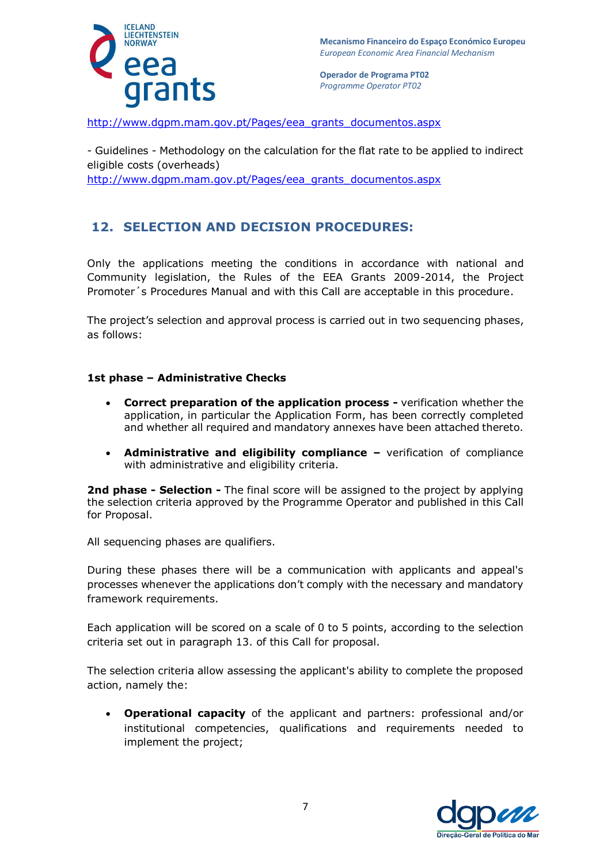

http://www.dqpm.mam.gov.pt/Pages/eea\_grants\_documentos.aspx

- Guidelines - Methodology on the calculation for the flat rate to be applied to indirect eligible costs (overheads) http://www.dqpm.mam.gov.pt/Pages/eea\_grants\_documentos.aspx

# **12. SELECTION AND DECISION PROCEDURES:**

Only the applications meeting the conditions in accordance with national and Community legislation, the Rules of the EEA Grants 2009-2014, the Project Promoter´s Procedures Manual and with this Call are acceptable in this procedure.

The project's selection and approval process is carried out in two sequencing phases, as follows:

#### **1st phase – Administrative Checks**

- **Correct preparation of the application process -** verification whether the application, in particular the Application Form, has been correctly completed and whether all required and mandatory annexes have been attached thereto.
- **Administrative and eligibility compliance –** verification of compliance with administrative and eligibility criteria.

**2nd phase - Selection -** The final score will be assigned to the project by applying the selection criteria approved by the Programme Operator and published in this Call for Proposal.

All sequencing phases are qualifiers.

During these phases there will be a communication with applicants and appeal's processes whenever the applications don't comply with the necessary and mandatory framework requirements.

Each application will be scored on a scale of 0 to 5 points, according to the selection criteria set out in paragraph 13. of this Call for proposal.

The selection criteria allow assessing the applicant's ability to complete the proposed action, namely the:

 **Operational capacity** of the applicant and partners: professional and/or institutional competencies, qualifications and requirements needed to implement the project;

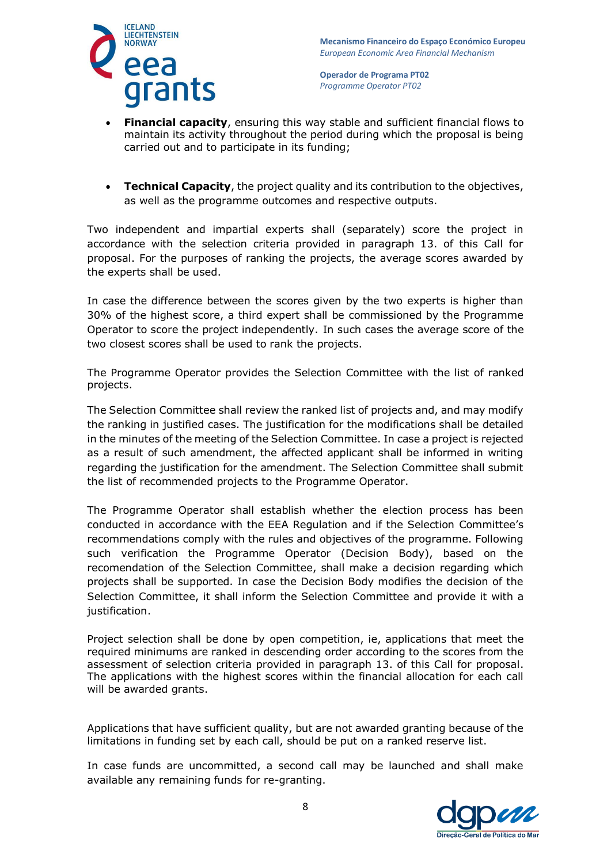



- **Financial capacity**, ensuring this way stable and sufficient financial flows to maintain its activity throughout the period during which the proposal is being carried out and to participate in its funding;
- **Technical Capacity**, the project quality and its contribution to the objectives, as well as the programme outcomes and respective outputs.

Two independent and impartial experts shall (separately) score the project in accordance with the selection criteria provided in paragraph 13. of this Call for proposal. For the purposes of ranking the projects, the average scores awarded by the experts shall be used.

In case the difference between the scores given by the two experts is higher than 30% of the highest score, a third expert shall be commissioned by the Programme Operator to score the project independently. In such cases the average score of the two closest scores shall be used to rank the projects.

The Programme Operator provides the Selection Committee with the list of ranked projects.

The Selection Committee shall review the ranked list of projects and, and may modify the ranking in justified cases. The justification for the modifications shall be detailed in the minutes of the meeting of the Selection Committee. In case a project is rejected as a result of such amendment, the affected applicant shall be informed in writing regarding the justification for the amendment. The Selection Committee shall submit the list of recommended projects to the Programme Operator.

The Programme Operator shall establish whether the election process has been conducted in accordance with the EEA Regulation and if the Selection Committee's recommendations comply with the rules and objectives of the programme. Following such verification the Programme Operator (Decision Body), based on the recomendation of the Selection Committee, shall make a decision regarding which projects shall be supported. In case the Decision Body modifies the decision of the Selection Committee, it shall inform the Selection Committee and provide it with a justification.

Project selection shall be done by open competition, ie, applications that meet the required minimums are ranked in descending order according to the scores from the assessment of selection criteria provided in paragraph 13. of this Call for proposal. The applications with the highest scores within the financial allocation for each call will be awarded grants.

Applications that have sufficient quality, but are not awarded granting because of the limitations in funding set by each call, should be put on a ranked reserve list.

In case funds are uncommitted, a second call may be launched and shall make available any remaining funds for re-granting.

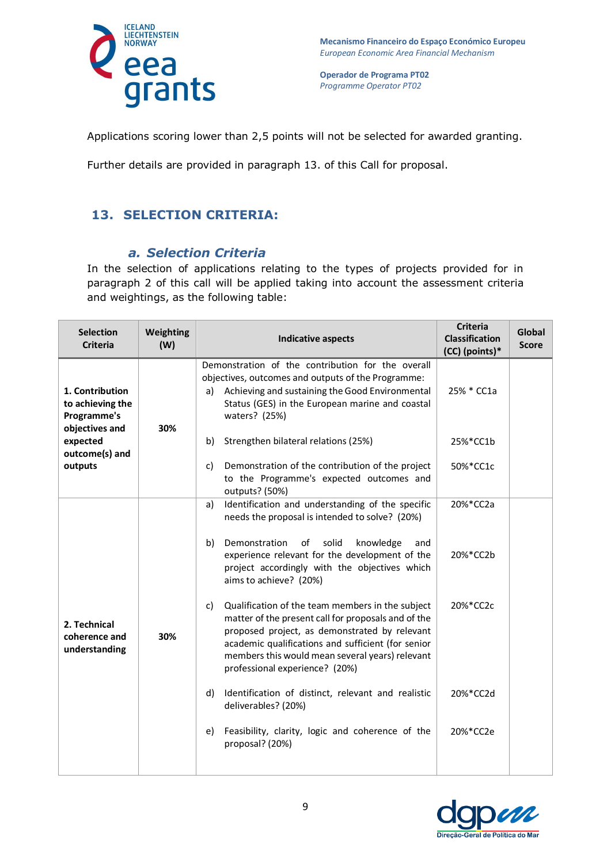

Applications scoring lower than 2,5 points will not be selected for awarded granting.

Further details are provided in paragraph 13. of this Call for proposal.

# **13. SELECTION CRITERIA:**

#### *a. Selection Criteria*

In the selection of applications relating to the types of projects provided for in paragraph 2 of this call will be applied taking into account the assessment criteria and weightings, as the following table:

| <b>Selection</b><br><b>Criteria</b>                                  | Weighting<br>(W) | <b>Indicative aspects</b>                                                                                                                                                                                                                                                                                 | <b>Criteria</b><br><b>Classification</b><br>(CC) (points)* | Global<br><b>Score</b> |
|----------------------------------------------------------------------|------------------|-----------------------------------------------------------------------------------------------------------------------------------------------------------------------------------------------------------------------------------------------------------------------------------------------------------|------------------------------------------------------------|------------------------|
| 1. Contribution<br>to achieving the<br>Programme's<br>objectives and | 30%              | Demonstration of the contribution for the overall<br>objectives, outcomes and outputs of the Programme:<br>Achieving and sustaining the Good Environmental<br>a)<br>Status (GES) in the European marine and coastal<br>waters? (25%)                                                                      | 25% * CC1a                                                 |                        |
| expected<br>outcome(s) and<br>outputs                                |                  | Strengthen bilateral relations (25%)<br>b)                                                                                                                                                                                                                                                                | 25%*CC1b                                                   |                        |
|                                                                      |                  | Demonstration of the contribution of the project<br>c)<br>to the Programme's expected outcomes and<br>outputs? (50%)                                                                                                                                                                                      | 50%*CC1c                                                   |                        |
| 2. Technical<br>coherence and<br>understanding                       | 30%              | Identification and understanding of the specific<br>a)<br>needs the proposal is intended to solve? (20%)<br>Demonstration<br>of<br>solid<br>knowledge<br>b)<br>and<br>experience relevant for the development of the<br>project accordingly with the objectives which<br>aims to achieve? (20%)           | 20%*CC2a<br>20%*CC2b                                       |                        |
|                                                                      |                  | Qualification of the team members in the subject<br>c)<br>matter of the present call for proposals and of the<br>proposed project, as demonstrated by relevant<br>academic qualifications and sufficient (for senior<br>members this would mean several years) relevant<br>professional experience? (20%) | 20%*CC2c                                                   |                        |
|                                                                      |                  | Identification of distinct, relevant and realistic<br>d)<br>deliverables? (20%)                                                                                                                                                                                                                           | 20%*CC2d                                                   |                        |
|                                                                      |                  | Feasibility, clarity, logic and coherence of the<br>e)<br>proposal? (20%)                                                                                                                                                                                                                                 | 20%*CC2e                                                   |                        |

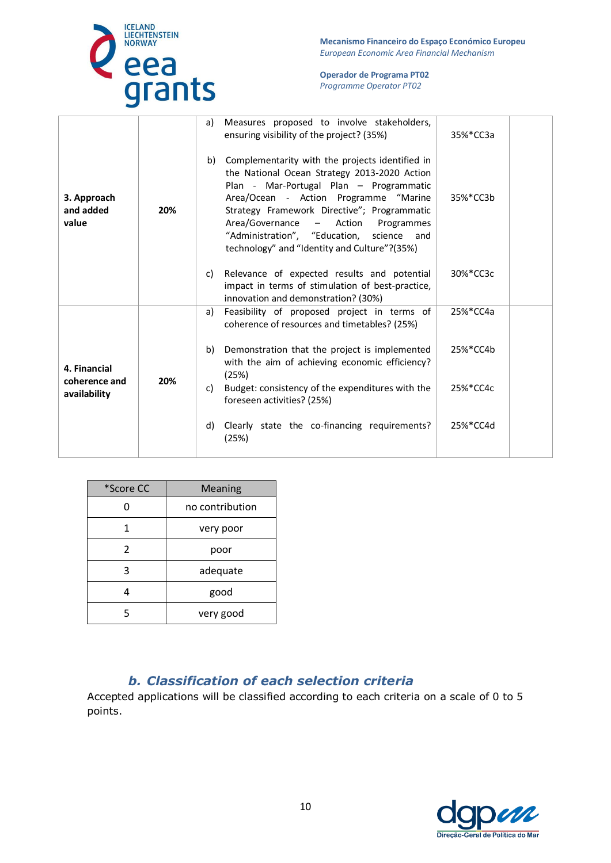

**Mecanismo Financeiro do Espaço Económico Europeu**  *European Economic Area Financial Mechanism* 

#### **Operador de Programa PT02**  *Programme Operator PT02*

| 3. Approach<br>and added<br>value             | 20% | a) | Measures proposed to involve stakeholders,<br>ensuring visibility of the project? (35%)                                                                                                                                                                                                                                                                                                 | 35%*CC3a |  |
|-----------------------------------------------|-----|----|-----------------------------------------------------------------------------------------------------------------------------------------------------------------------------------------------------------------------------------------------------------------------------------------------------------------------------------------------------------------------------------------|----------|--|
|                                               |     | b) | Complementarity with the projects identified in<br>the National Ocean Strategy 2013-2020 Action<br>Plan - Mar-Portugal Plan - Programmatic<br>Area/Ocean - Action Programme "Marine<br>Strategy Framework Directive"; Programmatic<br>Area/Governance<br>Action<br>$\sim$<br>Programmes<br>"Administration", "Education, science<br>and<br>technology" and "Identity and Culture"?(35%) | 35%*CC3b |  |
|                                               |     | C) | Relevance of expected results and potential<br>impact in terms of stimulation of best-practice,<br>innovation and demonstration? (30%)                                                                                                                                                                                                                                                  | 30%*CC3c |  |
|                                               |     | a) | Feasibility of proposed project in terms of<br>coherence of resources and timetables? (25%)                                                                                                                                                                                                                                                                                             | 25%*CC4a |  |
| 4. Financial<br>coherence and<br>availability | 20% | b) | Demonstration that the project is implemented<br>with the aim of achieving economic efficiency?<br>(25%)                                                                                                                                                                                                                                                                                | 25%*CC4b |  |
|                                               |     | C) | Budget: consistency of the expenditures with the<br>foreseen activities? (25%)                                                                                                                                                                                                                                                                                                          | 25%*CC4c |  |
|                                               |     | d) | Clearly state the co-financing requirements?<br>(25%)                                                                                                                                                                                                                                                                                                                                   | 25%*CC4d |  |
|                                               |     |    |                                                                                                                                                                                                                                                                                                                                                                                         |          |  |

| *Score CC | <b>Meaning</b>  |  |
|-----------|-----------------|--|
|           | no contribution |  |
|           | very poor       |  |
| 2         | poor            |  |
| 3         | adequate        |  |
|           | good            |  |
| 5         | very good       |  |

### *b. Classification of each selection criteria*

Accepted applications will be classified according to each criteria on a scale of 0 to 5 points.

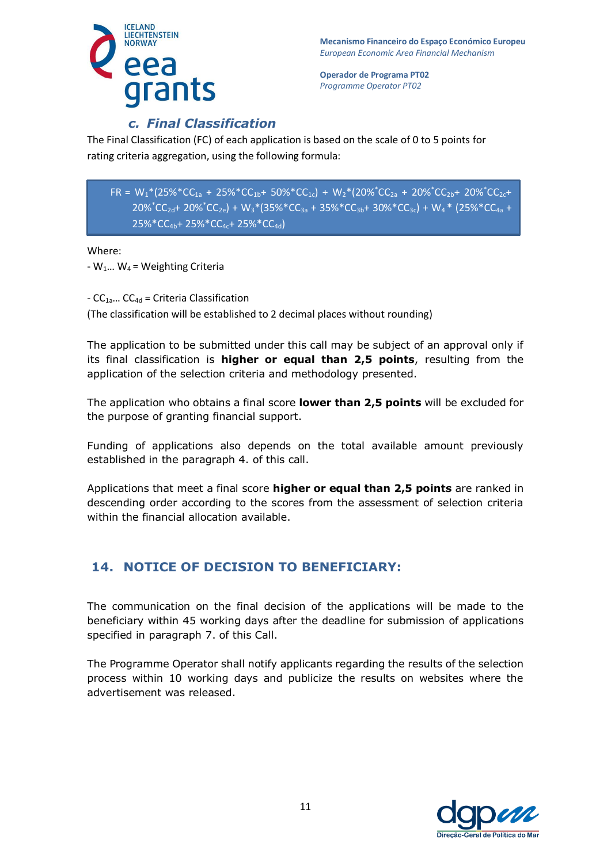

# *c. Final Classification*

The Final Classification (FC) of each application is based on the scale of 0 to 5 points for rating criteria aggregation, using the following formula:

 $FR = W_1*(25\%^*CC_{1a} + 25\%^*CC_{1b} + 50\%^*CC_{1c}) + W_2*(20\%^*CC_{2a} + 20\%^*CC_{2b} + 20\%^*CC_{2c} +$  $20\%^{\ast}$ CC<sub>2d</sub>+ 20% $^{\ast}$ CC<sub>2e</sub>) + W<sub>3</sub> $^{\ast}$ (35% $^{\ast}$ CC<sub>3a</sub> + 35% $^{\ast}$ CC<sub>3b</sub>+ 30% $^{\ast}$ CC<sub>3c</sub>) + W<sub>4</sub> $^{\ast}$  (25% $^{\ast}$ CC<sub>4a</sub> + 25%\*CC4b+ 25%\*CC4c+ 25%\*CC4d)

Where:

 $-W_1...$  W<sub>4</sub> = Weighting Criteria

 $-CC_{1a}... CC_{4d}$  = Criteria Classification (The classification will be established to 2 decimal places without rounding)

The application to be submitted under this call may be subject of an approval only if its final classification is **higher or equal than 2,5 points**, resulting from the application of the selection criteria and methodology presented.

The application who obtains a final score **lower than 2,5 points** will be excluded for the purpose of granting financial support.

Funding of applications also depends on the total available amount previously established in the paragraph 4. of this call.

Applications that meet a final score **higher or equal than 2,5 points** are ranked in descending order according to the scores from the assessment of selection criteria within the financial allocation available.

# **14. NOTICE OF DECISION TO BENEFICIARY:**

The communication on the final decision of the applications will be made to the beneficiary within 45 working days after the deadline for submission of applications specified in paragraph 7. of this Call.

The Programme Operator shall notify applicants regarding the results of the selection process within 10 working days and publicize the results on websites where the advertisement was released.